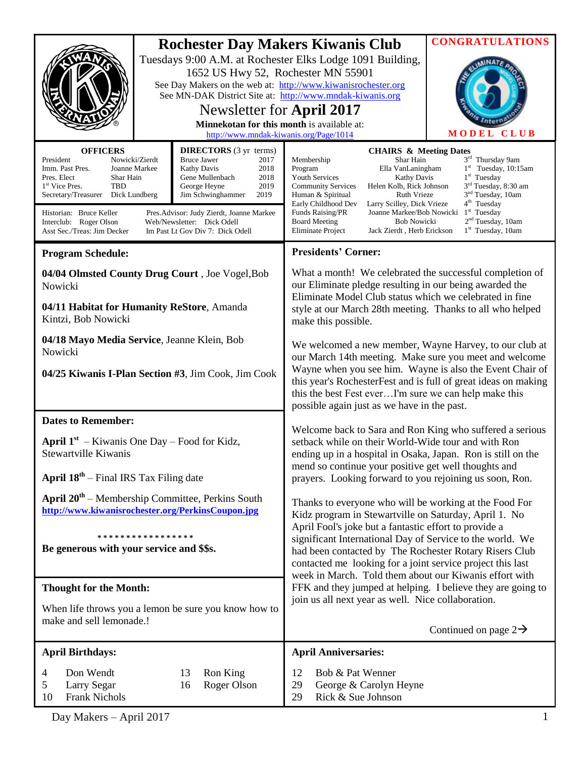|                                                                                                                                                                                                                                                                                 | <b>Rochester Day Makers Kiwanis Club</b><br>Tuesdays 9:00 A.M. at Rochester Elks Lodge 1091 Building,<br>1652 US Hwy 52, Rochester MN 55901<br>See Day Makers on the web at: http://www.kiwanisrochester.org<br>See MN-DAK District Site at: http://www.mndak-kiwanis.org<br>Newsletter for April 2017<br>Minnekotan for this month is available at:<br>http://www.mndak-kiwanis.org/Page/1014 | <b>CONGRATULATIONS</b><br><b>CLUB</b><br>MODEL                                                                                                                                                                                                                                                                                                                                                                          |                                                                                                                                                                                                                                                                                                                                                                                                                                                                                                                |  |
|---------------------------------------------------------------------------------------------------------------------------------------------------------------------------------------------------------------------------------------------------------------------------------|------------------------------------------------------------------------------------------------------------------------------------------------------------------------------------------------------------------------------------------------------------------------------------------------------------------------------------------------------------------------------------------------|-------------------------------------------------------------------------------------------------------------------------------------------------------------------------------------------------------------------------------------------------------------------------------------------------------------------------------------------------------------------------------------------------------------------------|----------------------------------------------------------------------------------------------------------------------------------------------------------------------------------------------------------------------------------------------------------------------------------------------------------------------------------------------------------------------------------------------------------------------------------------------------------------------------------------------------------------|--|
| <b>OFFICERS</b><br>President<br>Nowicki/Zierdt<br>Imm. Past Pres.<br>Joanne Markee<br>Pres. Elect<br>Shar Hain<br>1 <sup>st</sup> Vice Pres.<br>TBD<br>Secretary/Treasurer<br>Dick Lundberg<br>Historian: Bruce Keller<br>Interclub: Roger Olson<br>Asst Sec./Treas: Jim Decker | <b>DIRECTORS</b> (3 yr terms)<br><b>Bruce Jawer</b><br>2017<br>Kathy Davis<br>2018<br>Gene Mullenbach<br>2018<br>2019<br>George Heyne<br>2019<br>Jim Schwinghammer<br>Pres. Advisor: Judy Zierdt, Joanne Markee<br>Web/Newsletter: Dick Odell<br>Im Past Lt Gov Div 7: Dick Odell                                                                                                              | Membership<br>Program<br><b>Youth Services</b><br><b>Community Services</b><br>Human & Spiritual<br>Early Childhood Dev<br>Funds Raising/PR<br><b>Board Meeting</b><br>Eliminate Project                                                                                                                                                                                                                                | <b>CHAIRS &amp; Meeting Dates</b><br>3 <sup>rd</sup> Thursday 9am<br>Shar Hain<br>$1st$ Tuesday, 10:15am<br>Ella VanLaningham<br>$1st$ Tuesday<br><b>Kathy Davis</b><br>3 <sup>rd</sup> Tuesday, 8:30 am<br>Helen Kolb, Rick Johnson<br>3 <sup>nd</sup> Tuesday, 10am<br><b>Ruth Vrieze</b><br>4 <sup>th</sup> Tuesday<br>Larry Scilley, Dick Vrieze<br>$1st$ Tuesday<br>Joanne Markee/Bob Nowicki<br>2 <sup>nd</sup> Tuesday, 10am<br><b>Bob Nowicki</b><br>$1st$ Tuesday, 10am<br>Jack Zierdt, Herb Erickson |  |
| <b>Program Schedule:</b>                                                                                                                                                                                                                                                        |                                                                                                                                                                                                                                                                                                                                                                                                | <b>Presidents' Corner:</b>                                                                                                                                                                                                                                                                                                                                                                                              |                                                                                                                                                                                                                                                                                                                                                                                                                                                                                                                |  |
| 04/04 Olmsted County Drug Court, Joe Vogel, Bob<br>Nowicki<br>04/11 Habitat for Humanity ReStore, Amanda                                                                                                                                                                        |                                                                                                                                                                                                                                                                                                                                                                                                | What a month! We celebrated the successful completion of<br>our Eliminate pledge resulting in our being awarded the<br>Eliminate Model Club status which we celebrated in fine<br>style at our March 28th meeting. Thanks to all who helped<br>make this possible.                                                                                                                                                      |                                                                                                                                                                                                                                                                                                                                                                                                                                                                                                                |  |
| Kintzi, Bob Nowicki                                                                                                                                                                                                                                                             |                                                                                                                                                                                                                                                                                                                                                                                                |                                                                                                                                                                                                                                                                                                                                                                                                                         |                                                                                                                                                                                                                                                                                                                                                                                                                                                                                                                |  |
| 04/18 Mayo Media Service, Jeanne Klein, Bob<br>Nowicki                                                                                                                                                                                                                          |                                                                                                                                                                                                                                                                                                                                                                                                | We welcomed a new member, Wayne Harvey, to our club at<br>our March 14th meeting. Make sure you meet and welcome<br>Wayne when you see him. Wayne is also the Event Chair of                                                                                                                                                                                                                                            |                                                                                                                                                                                                                                                                                                                                                                                                                                                                                                                |  |
| 04/25 Kiwanis I-Plan Section #3, Jim Cook, Jim Cook                                                                                                                                                                                                                             |                                                                                                                                                                                                                                                                                                                                                                                                | this year's RochesterFest and is full of great ideas on making<br>this the best Fest everI'm sure we can help make this<br>possible again just as we have in the past.                                                                                                                                                                                                                                                  |                                                                                                                                                                                                                                                                                                                                                                                                                                                                                                                |  |
| <b>Dates to Remember:</b>                                                                                                                                                                                                                                                       |                                                                                                                                                                                                                                                                                                                                                                                                | Welcome back to Sara and Ron King who suffered a serious<br>setback while on their World-Wide tour and with Ron<br>ending up in a hospital in Osaka, Japan. Ron is still on the<br>mend so continue your positive get well thoughts and<br>prayers. Looking forward to you rejoining us soon, Ron.                                                                                                                      |                                                                                                                                                                                                                                                                                                                                                                                                                                                                                                                |  |
| <b>April 1st</b> – Kiwanis One Day – Food for Kidz,<br>Stewartville Kiwanis                                                                                                                                                                                                     |                                                                                                                                                                                                                                                                                                                                                                                                |                                                                                                                                                                                                                                                                                                                                                                                                                         |                                                                                                                                                                                                                                                                                                                                                                                                                                                                                                                |  |
| <b>April <math>18^{th}</math></b> – Final IRS Tax Filing date                                                                                                                                                                                                                   |                                                                                                                                                                                                                                                                                                                                                                                                |                                                                                                                                                                                                                                                                                                                                                                                                                         |                                                                                                                                                                                                                                                                                                                                                                                                                                                                                                                |  |
| <b>April <math>20^{th}</math></b> – Membership Committee, Perkins South<br>http://www.kiwanisrochester.org/PerkinsCoupon.jpg                                                                                                                                                    |                                                                                                                                                                                                                                                                                                                                                                                                | Thanks to everyone who will be working at the Food For<br>Kidz program in Stewartville on Saturday, April 1. No<br>April Fool's joke but a fantastic effort to provide a<br>significant International Day of Service to the world. We<br>had been contacted by The Rochester Rotary Risers Club<br>contacted me looking for a joint service project this last<br>week in March. Told them about our Kiwanis effort with |                                                                                                                                                                                                                                                                                                                                                                                                                                                                                                                |  |
| * * * * * * * * * * * * * * * * *<br>Be generous with your service and \$\$s.                                                                                                                                                                                                   |                                                                                                                                                                                                                                                                                                                                                                                                |                                                                                                                                                                                                                                                                                                                                                                                                                         |                                                                                                                                                                                                                                                                                                                                                                                                                                                                                                                |  |
| <b>Thought for the Month:</b>                                                                                                                                                                                                                                                   |                                                                                                                                                                                                                                                                                                                                                                                                | FFK and they jumped at helping. I believe they are going to                                                                                                                                                                                                                                                                                                                                                             |                                                                                                                                                                                                                                                                                                                                                                                                                                                                                                                |  |
| When life throws you a lemon be sure you know how to<br>make and sell lemonade.!                                                                                                                                                                                                |                                                                                                                                                                                                                                                                                                                                                                                                | join us all next year as well. Nice collaboration.<br>Continued on page $2\rightarrow$                                                                                                                                                                                                                                                                                                                                  |                                                                                                                                                                                                                                                                                                                                                                                                                                                                                                                |  |
| <b>April Birthdays:</b>                                                                                                                                                                                                                                                         |                                                                                                                                                                                                                                                                                                                                                                                                | <b>April Anniversaries:</b>                                                                                                                                                                                                                                                                                                                                                                                             |                                                                                                                                                                                                                                                                                                                                                                                                                                                                                                                |  |
| Don Wendt<br>4<br>Larry Segar<br>5<br><b>Frank Nichols</b><br>10                                                                                                                                                                                                                | 13<br>Ron King<br>Roger Olson<br>16                                                                                                                                                                                                                                                                                                                                                            | Bob & Pat Wenner<br>12<br>29<br>George & Carolyn Heyne<br>Rick & Sue Johnson<br>29                                                                                                                                                                                                                                                                                                                                      |                                                                                                                                                                                                                                                                                                                                                                                                                                                                                                                |  |

Day Makers – April 2017 1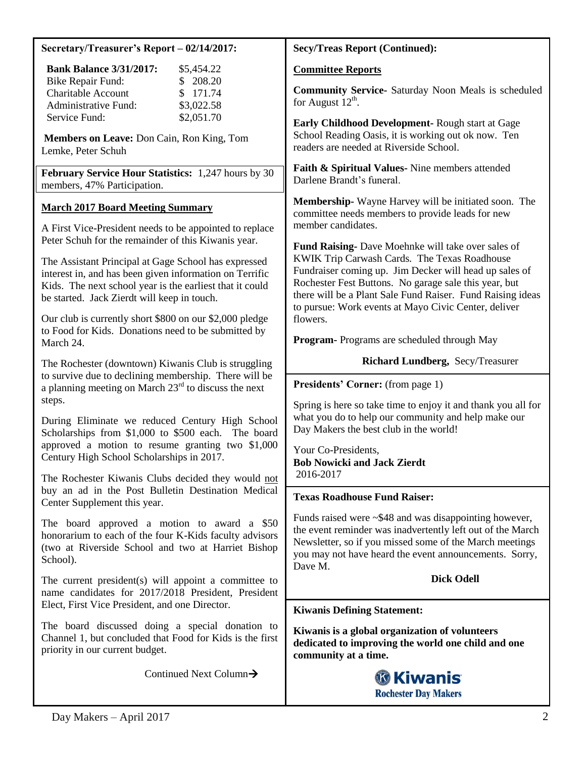| Secretary/Treasurer's Report – 02/14/2017: |
|--------------------------------------------|
|                                            |

| <b>Bank Balance 3/31/2017:</b> | \$5,454.22 |
|--------------------------------|------------|
| Bike Repair Fund:              | \$208.20   |
| <b>Charitable Account</b>      | \$171.74   |
| Administrative Fund:           | \$3,022.58 |
| Service Fund:                  | \$2,051.70 |

**Members on Leave:** Don Cain, Ron King, Tom Lemke, Peter Schuh

**February Service Hour Statistics:** 1,247 hours by 30 members, 47% Participation.

# **March 2017 Board Meeting Summary**

A First Vice-President needs to be appointed to replace Peter Schuh for the remainder of this Kiwanis year.

The Assistant Principal at Gage School has expressed interest in, and has been given information on Terrific Kids. The next school year is the earliest that it could be started. Jack Zierdt will keep in touch.

Our club is currently short \$800 on our \$2,000 pledge to Food for Kids. Donations need to be submitted by March 24.

The Rochester (downtown) Kiwanis Club is struggling to survive due to declining membership. There will be a planning meeting on March  $23<sup>rd</sup>$  to discuss the next steps.

During Eliminate we reduced Century High School Scholarships from \$1,000 to \$500 each. The board approved a motion to resume granting two \$1,000 Century High School Scholarships in 2017.

The Rochester Kiwanis Clubs decided they would not buy an ad in the Post Bulletin Destination Medical Center Supplement this year.

The board approved a motion to award a \$50 honorarium to each of the four K-Kids faculty advisors (two at Riverside School and two at Harriet Bishop School).

The current president(s) will appoint a committee to name candidates for 2017/2018 President, President Elect, First Vice President, and one Director.

The board discussed doing a special donation to Channel 1, but concluded that Food for Kids is the first priority in our current budget.

Continued Next Column

# **Secy/Treas Report (Continued):**

#### **Committee Reports**

**Community Service-** Saturday Noon Meals is scheduled for August  $12^{th}$ .

**Early Childhood Development-** Rough start at Gage School Reading Oasis, it is working out ok now. Ten readers are needed at Riverside School.

**Faith & Spiritual Values-** Nine members attended Darlene Brandt's funeral.

**Membership-** Wayne Harvey will be initiated soon. The committee needs members to provide leads for new member candidates.

**Fund Raising-** Dave Moehnke will take over sales of KWIK Trip Carwash Cards. The Texas Roadhouse Fundraiser coming up. Jim Decker will head up sales of Rochester Fest Buttons. No garage sale this year, but there will be a Plant Sale Fund Raiser. Fund Raising ideas to pursue: Work events at Mayo Civic Center, deliver flowers.

**Program-** Programs are scheduled through May

### **Richard Lundberg,** Secy/Treasurer

**Presidents' Corner:** (from page 1)

Spring is here so take time to enjoy it and thank you all for what you do to help our community and help make our Day Makers the best club in the world!

Your Co-Presidents, **Bob Nowicki and Jack Zierdt**  2016-2017

# **Texas Roadhouse Fund Raiser:**

Funds raised were ~\$48 and was disappointing however, the event reminder was inadvertently left out of the March Newsletter, so if you missed some of the March meetings you may not have heard the event announcements. Sorry, Dave M.

**Dick Odell**

# **Kiwanis Defining Statement:**

**Kiwanis is a global organization of volunteers dedicated to improving the world one child and one community at a time.**

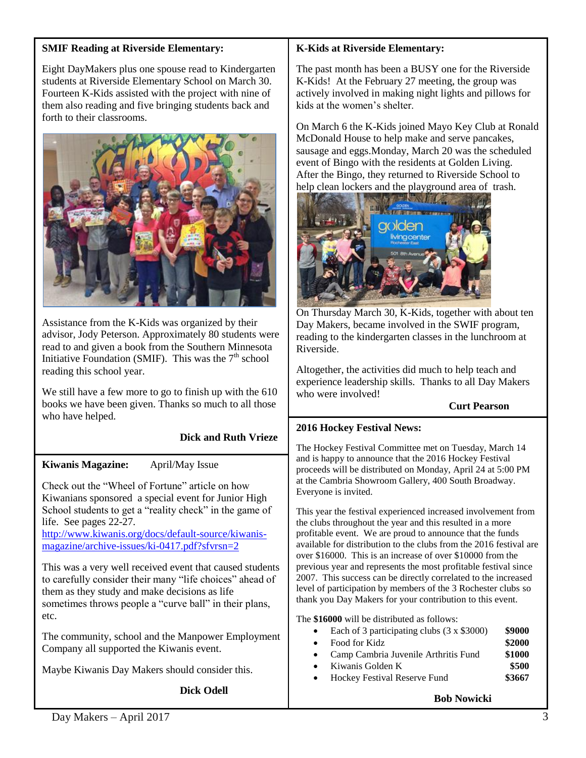### **SMIF Reading at Riverside Elementary:**

Eight DayMakers plus one spouse read to Kindergarten students at Riverside Elementary School on March 30. Fourteen K-Kids assisted with the project with nine of them also reading and five bringing students back and forth to their classrooms.



Assistance from the K-Kids was organized by their advisor, Jody Peterson. Approximately 80 students were read to and given a book from the Southern Minnesota Initiative Foundation (SMIF). This was the  $7<sup>th</sup>$  school reading this school year.

We still have a few more to go to finish up with the 610 books we have been given. Thanks so much to all those who have helped.

# **Dick and Ruth Vrieze**

### **Kiwanis Magazine:** April/May Issue

Check out the "Wheel of Fortune" article on how Kiwanians sponsored a special event for Junior High School students to get a "reality check" in the game of life. See pages 22-27.

[http://www.kiwanis.org/docs/default-source/kiwanis](http://www.kiwanis.org/docs/default-source/kiwanis-magazine/archive-issues/ki-0417.pdf?sfvrsn=2)[magazine/archive-issues/ki-0417.pdf?sfvrsn=2](http://www.kiwanis.org/docs/default-source/kiwanis-magazine/archive-issues/ki-0417.pdf?sfvrsn=2)

This was a very well received event that caused students to carefully consider their many "life choices" ahead of them as they study and make decisions as life sometimes throws people a "curve ball" in their plans, etc.

The community, school and the Manpower Employment Company all supported the Kiwanis event.

Maybe Kiwanis Day Makers should consider this.

**Dick Odell**

### **K-Kids at Riverside Elementary:**

The past month has been a BUSY one for the Riverside K-Kids! At the February 27 meeting, the group was actively involved in making night lights and pillows for kids at the women's shelter.

On March 6 the K-Kids joined Mayo Key Club at Ronald McDonald House to help make and serve pancakes, sausage and eggs.Monday, March 20 was the scheduled event of Bingo with the residents at Golden Living. After the Bingo, they returned to Riverside School to help clean lockers and the playground area of trash.



On Thursday March 30, K-Kids, together with about ten Day Makers, became involved in the SWIF program, reading to the kindergarten classes in the lunchroom at Riverside.

Altogether, the activities did much to help teach and experience leadership skills. Thanks to all Day Makers who were involved!

### **Curt Pearson**

### **2016 Hockey Festival News:**

The Hockey Festival Committee met on Tuesday, March 14 and is happy to announce that the 2016 Hockey Festival proceeds will be distributed on Monday, April 24 at 5:00 PM at the Cambria Showroom Gallery, 400 South Broadway. Everyone is invited.

This year the festival experienced increased involvement from the clubs throughout the year and this resulted in a more profitable event. We are proud to announce that the funds available for distribution to the clubs from the 2016 festival are over \$16000. This is an increase of over \$10000 from the previous year and represents the most profitable festival since 2007. This success can be directly correlated to the increased level of participation by members of the 3 Rochester clubs so thank you Day Makers for your contribution to this event.

The **\$16000** will be distributed as follows:

| Each of 3 participating clubs $(3 \times $3000)$ | \$9000 |
|--------------------------------------------------|--------|
|                                                  |        |

- Food for Kidz **\$2000**
- Camp Cambria Juvenile Arthritis Fund **\$1000**
- Kiwanis Golden K **\$500**
- Hockey Festival Reserve Fund **\$3667**

**Bob Nowicki**